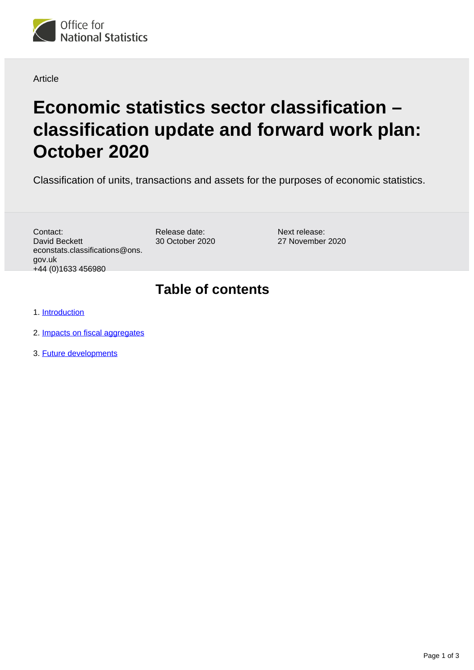

### Article

# **Economic statistics sector classification – classification update and forward work plan: October 2020**

Classification of units, transactions and assets for the purposes of economic statistics.

Contact: David Beckett econstats.classifications@ons. gov.uk +44 (0)1633 456980

Release date: 30 October 2020 Next release: 27 November 2020

### **Table of contents**

1. [Introduction](#page-1-0)

- 2. [Impacts on fiscal aggregates](#page-1-1)
- 3. [Future developments](#page-2-0)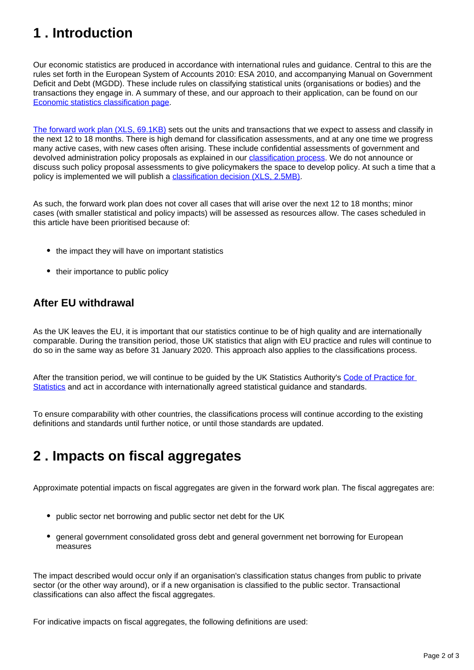# <span id="page-1-0"></span>**1 . Introduction**

Our economic statistics are produced in accordance with international rules and guidance. Central to this are the rules set forth in the European System of Accounts 2010: ESA 2010, and accompanying Manual on Government Deficit and Debt (MGDD). These include rules on classifying statistical units (organisations or bodies) and the transactions they engage in. A summary of these, and our approach to their application, can be found on our [Economic statistics classification page.](https://www.ons.gov.uk/methodology/classificationsandstandards/economicstatisticsclassifications)

[The forward work plan \(XLS, 69.1KB\)](https://www.ons.gov.uk/file?uri=/methodology/classificationsandstandards/economicstatisticsclassifications/introductiontoeconomicstatisticsclassifications/oct2020fwp.xls) sets out the units and transactions that we expect to assess and classify in the next 12 to 18 months. There is high demand for classification assessments, and at any one time we progress many active cases, with new cases often arising. These include confidential assessments of government and devolved administration policy proposals as explained in our *[classification process](https://www.ons.gov.uk/methodology/classificationsandstandards/economicstatisticsclassifications/ukeconomicstatisticssectorandtransactionclassificationstheclassificationprocess)*. We do not announce or discuss such policy proposal assessments to give policymakers the space to develop policy. At such a time that a policy is implemented we will publish a [classification decision \(XLS, 2.5MB\)](https://www.ons.gov.uk/file?uri=/methodology/classificationsandstandards/economicstatisticsclassifications/introductiontoeconomicstatisticsclassifications/pscgoct20.xls).

As such, the forward work plan does not cover all cases that will arise over the next 12 to 18 months; minor cases (with smaller statistical and policy impacts) will be assessed as resources allow. The cases scheduled in this article have been prioritised because of:

- the impact they will have on important statistics
- their importance to public policy

### **After EU withdrawal**

As the UK leaves the EU, it is important that our statistics continue to be of high quality and are internationally comparable. During the transition period, those UK statistics that align with EU practice and rules will continue to do so in the same way as before 31 January 2020. This approach also applies to the classifications process.

After the transition period, we will continue to be guided by the UK Statistics Authority's [Code of Practice for](https://www.statisticsauthority.gov.uk/code-of-practice/)  [Statistics](https://www.statisticsauthority.gov.uk/code-of-practice/) and act in accordance with internationally agreed statistical guidance and standards.

To ensure comparability with other countries, the classifications process will continue according to the existing definitions and standards until further notice, or until those standards are updated.

## <span id="page-1-1"></span>**2 . Impacts on fiscal aggregates**

Approximate potential impacts on fiscal aggregates are given in the forward work plan. The fiscal aggregates are:

- public sector net borrowing and public sector net debt for the UK
- general government consolidated gross debt and general government net borrowing for European measures

The impact described would occur only if an organisation's classification status changes from public to private sector (or the other way around), or if a new organisation is classified to the public sector. Transactional classifications can also affect the fiscal aggregates.

For indicative impacts on fiscal aggregates, the following definitions are used: